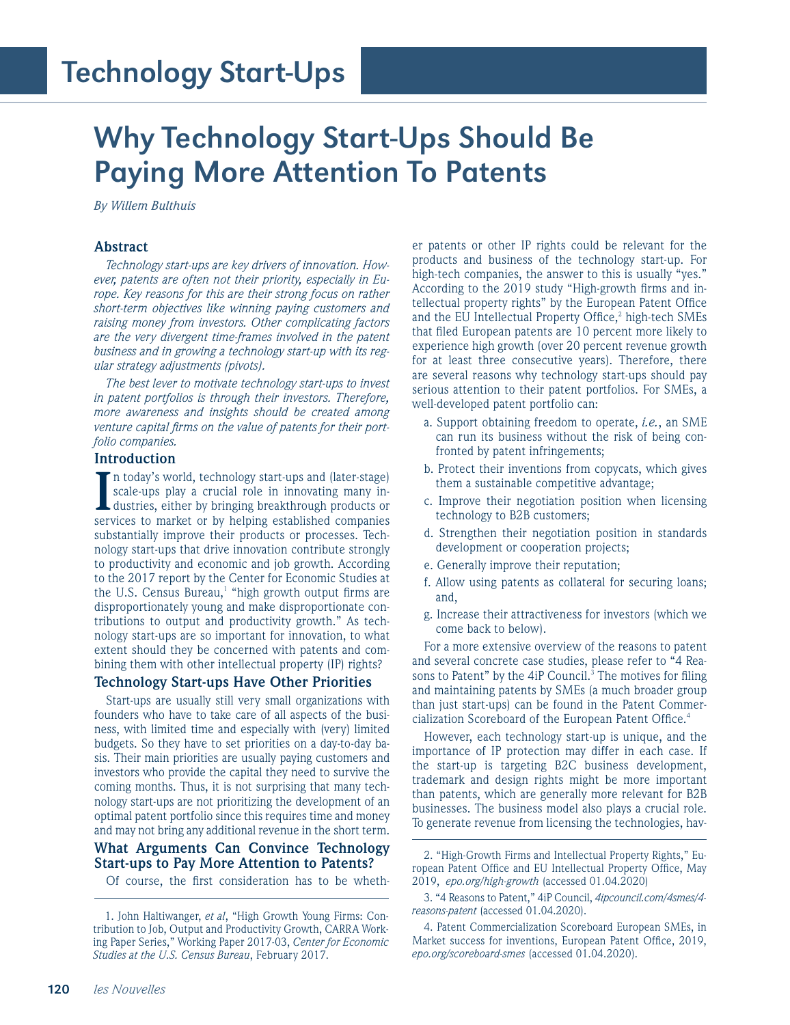# Why Technology Start-Ups Should Be Paying More Attention To Patents

*By Willem Bulthuis*

#### **Abstract**

*Technology start-ups are key drivers of innovation. However, patents are often not their priority, especially in Europe. Key reasons for this are their strong focus on rather short-term objectives like winning paying customers and raising money from investors. Other complicating factors are the very divergent time-frames involved in the patent business and in growing a technology start-up with its regular strategy adjustments (pivots).* 

*The best lever to motivate technology start-ups to invest in patent portfolios is through their investors. Therefore, more awareness and insights should be created among venture capital firms on the value of patents for their portfolio companies.*

# **Introduction**

In today's world, technology start-ups and (later-stage) scale-ups play a crucial role in innovating many industries, either by bringing breakthrough products or services to market or by helping established companies n today's world, technology start-ups and (later-stage) scale-ups play a crucial role in innovating many industries, either by bringing breakthrough products or substantially improve their products or processes. Technology start-ups that drive innovation contribute strongly to productivity and economic and job growth. According to the 2017 report by the Center for Economic Studies at the U.S. Census Bureau, $^1$  "high growth output firms are disproportionately young and make disproportionate contributions to output and productivity growth." As technology start-ups are so important for innovation, to what extent should they be concerned with patents and combining them with other intellectual property (IP) rights?

#### **Technology Start-ups Have Other Priorities**

Start-ups are usually still very small organizations with founders who have to take care of all aspects of the business, with limited time and especially with (very) limited budgets. So they have to set priorities on a day-to-day basis. Their main priorities are usually paying customers and investors who provide the capital they need to survive the coming months. Thus, it is not surprising that many technology start-ups are not prioritizing the development of an optimal patent portfolio since this requires time and money and may not bring any additional revenue in the short term.

# **What Arguments Can Convince Technology Start-ups to Pay More Attention to Patents?**

Of course, the first consideration has to be wheth-

er patents or other IP rights could be relevant for the products and business of the technology start-up. For high-tech companies, the answer to this is usually "yes." According to the 2019 study "High-growth firms and intellectual property rights" by the European Patent Office and the EU Intellectual Property Office,<sup>2</sup> high-tech SMEs that filed European patents are 10 percent more likely to experience high growth (over 20 percent revenue growth for at least three consecutive years). Therefore, there are several reasons why technology start-ups should pay serious attention to their patent portfolios. For SMEs, a well-developed patent portfolio can:

- a. Support obtaining freedom to operate, *i.e.*, an SME can run its business without the risk of being confronted by patent infringements;
- b. Protect their inventions from copycats, which gives them a sustainable competitive advantage;
- c. Improve their negotiation position when licensing technology to B2B customers;
- d. Strengthen their negotiation position in standards development or cooperation projects;
- e. Generally improve their reputation;
- f. Allow using patents as collateral for securing loans; and,
- g. Increase their attractiveness for investors (which we come back to below).

For a more extensive overview of the reasons to patent and several concrete case studies, please refer to "4 Reasons to Patent" by the 4iP Council.<sup>3</sup> The motives for filing and maintaining patents by SMEs (a much broader group than just start-ups) can be found in the Patent Commercialization Scoreboard of the European Patent Office.4

However, each technology start-up is unique, and the importance of IP protection may differ in each case. If the start-up is targeting B2C business development, trademark and design rights might be more important than patents, which are generally more relevant for B2B businesses. The business model also plays a crucial role. To generate revenue from licensing the technologies, hav-

<sup>1.</sup> John Haltiwanger, *et al*, "High Growth Young Firms: Contribution to Job, Output and Productivity Growth, CARRA Working Paper Series," Working Paper 2017-03, *Center for Economic Studies at the U.S. Census Bureau*, February 2017.

<sup>2. &</sup>quot;High-Growth Firms and Intellectual Property Rights," European Patent Office and EU Intellectual Property Office, May 2019, *epo.org/high-growth* (accessed 01.04.2020)

<sup>3. &</sup>quot;4 Reasons to Patent," 4iP Council, *4ipcouncil.com/4smes/4 reasons-patent* (accessed 01.04.2020).

<sup>4.</sup> Patent Commercialization Scoreboard European SMEs, in Market success for inventions, European Patent Office, 2019, *epo.org/scoreboard-smes* (accessed 01.04.2020).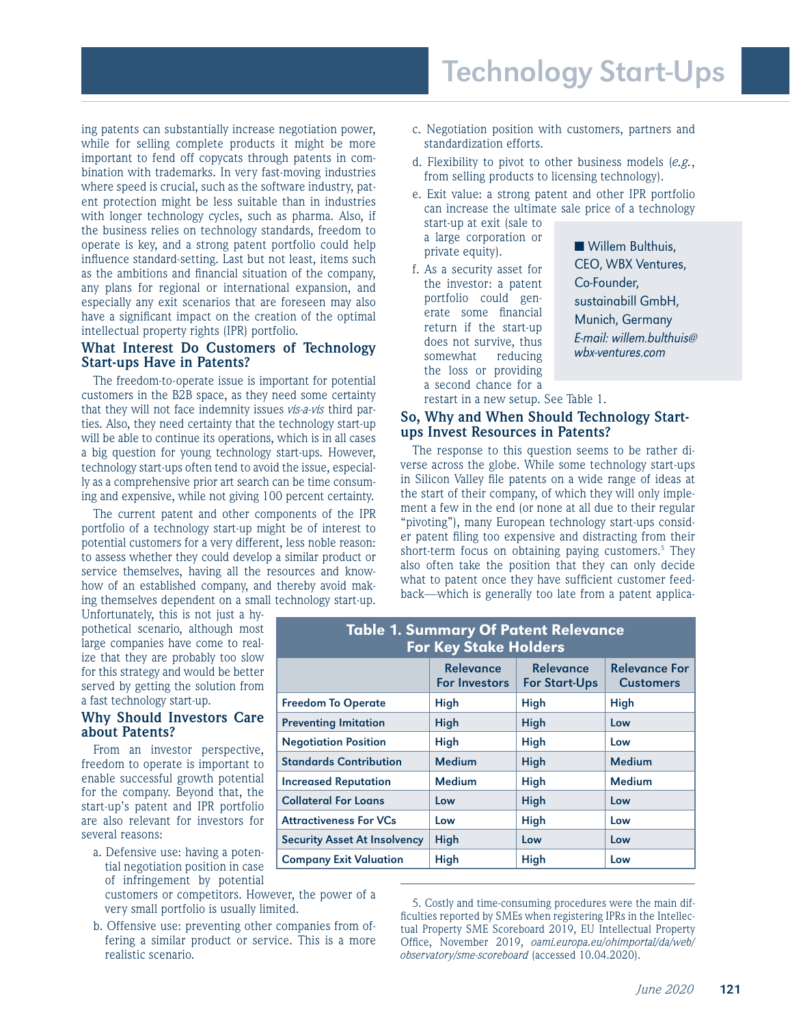# Technology Start-Ups

ing patents can substantially increase negotiation power, while for selling complete products it might be more important to fend off copycats through patents in combination with trademarks. In very fast-moving industries where speed is crucial, such as the software industry, patent protection might be less suitable than in industries with longer technology cycles, such as pharma. Also, if the business relies on technology standards, freedom to operate is key, and a strong patent portfolio could help influence standard-setting. Last but not least, items such as the ambitions and financial situation of the company, any plans for regional or international expansion, and especially any exit scenarios that are foreseen may also have a significant impact on the creation of the optimal intellectual property rights (IPR) portfolio.

#### **What Interest Do Customers of Technology Start-ups Have in Patents?**

The freedom-to-operate issue is important for potential customers in the B2B space, as they need some certainty that they will not face indemnity issues *vis-a-vis* third parties. Also, they need certainty that the technology start-up will be able to continue its operations, which is in all cases a big question for young technology start-ups. However, technology start-ups often tend to avoid the issue, especially as a comprehensive prior art search can be time consuming and expensive, while not giving 100 percent certainty.

The current patent and other components of the IPR portfolio of a technology start-up might be of interest to potential customers for a very different, less noble reason: to assess whether they could develop a similar product or service themselves, having all the resources and knowhow of an established company, and thereby avoid making themselves dependent on a small technology start-up.

Unfortunately, this is not just a hypothetical scenario, although most large companies have come to realize that they are probably too slow for this strategy and would be better served by getting the solution from a fast technology start-up.

### **Why Should Investors Care about Patents?**

From an investor perspective, freedom to operate is important to enable successful growth potential for the company. Beyond that, the start-up's patent and IPR portfolio are also relevant for investors for several reasons:

- a. Defensive use: having a potential negotiation position in case of infringement by potential
	- customers or competitors. However, the power of a very small portfolio is usually limited.
- b. Offensive use: preventing other companies from offering a similar product or service. This is a more realistic scenario.
- c. Negotiation position with customers, partners and standardization efforts.
- d. Flexibility to pivot to other business models (*e.g.*, from selling products to licensing technology).
- e. Exit value: a strong patent and other IPR portfolio can increase the ultimate sale price of a technology start-up at exit (sale to

a large corporation or private equity).

f. As a security asset for the investor: a patent portfolio could generate some financial return if the start-up does not survive, thus somewhat reducing the loss or providing a second chance for a

■ Willem Bulthuis, CEO, WBX Ventures, Co-Founder, sustainabill GmbH, Munich, Germany E-mail: willem.bulthuis@ wbx-ventures.com

restart in a new setup. See Table 1.

#### **So, Why and When Should Technology Startups Invest Resources in Patents?**

The response to this question seems to be rather diverse across the globe. While some technology start-ups in Silicon Valley file patents on a wide range of ideas at the start of their company, of which they will only implement a few in the end (or none at all due to their regular "pivoting"), many European technology start-ups consider patent filing too expensive and distracting from their short-term focus on obtaining paying customers.<sup>5</sup> They also often take the position that they can only decide what to patent once they have sufficient customer feedback—which is generally too late from a patent applica-

| <b>Table 1. Summary Of Patent Relevance</b><br><b>For Key Stake Holders</b> |                                          |                                          |                                          |
|-----------------------------------------------------------------------------|------------------------------------------|------------------------------------------|------------------------------------------|
|                                                                             | <b>Relevance</b><br><b>For Investors</b> | <b>Relevance</b><br><b>For Start-Ups</b> | <b>Relevance For</b><br><b>Customers</b> |
| <b>Freedom To Operate</b>                                                   | High                                     | High                                     | High                                     |
| <b>Preventing Imitation</b>                                                 | High                                     | <b>High</b>                              | Low                                      |
| <b>Negotiation Position</b>                                                 | High                                     | High                                     | Low                                      |
| <b>Standards Contribution</b>                                               | <b>Medium</b>                            | <b>High</b>                              | Medium                                   |
| <b>Increased Reputation</b>                                                 | <b>Medium</b>                            | High                                     | <b>Medium</b>                            |
| <b>Collateral For Loans</b>                                                 | Low                                      | <b>High</b>                              | Low                                      |
| <b>Attractiveness For VCs</b>                                               | Low                                      | <b>High</b>                              | Low                                      |
| <b>Security Asset At Insolvency</b>                                         | High                                     | Low                                      | Low                                      |
| <b>Company Exit Valuation</b>                                               | High                                     | High                                     | Low                                      |

<sup>5.</sup> Costly and time-consuming procedures were the main difficulties reported by SMEs when registering IPRs in the Intellectual Property SME Scoreboard 2019, EU Intellectual Property Office, November 2019, *oami.europa.eu/ohimportal/da/web/ observatory/sme-scoreboard* (accessed 10.04.2020).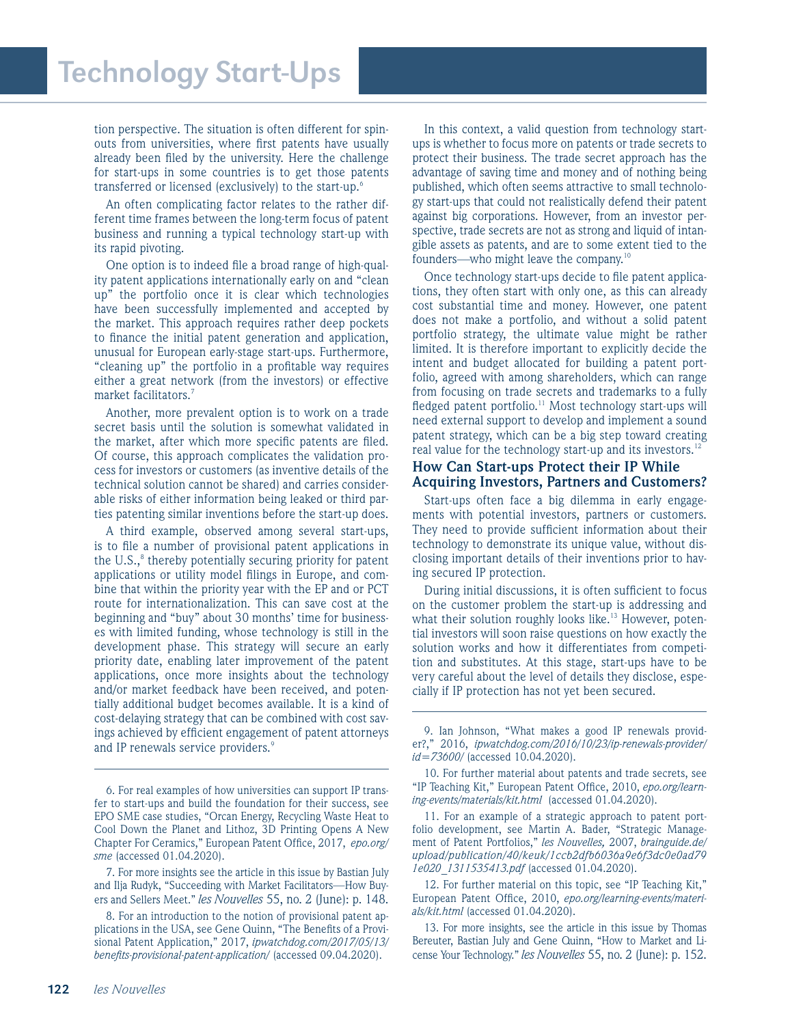# Technology Start-Ups

tion perspective. The situation is often different for spinouts from universities, where first patents have usually already been filed by the university. Here the challenge for start-ups in some countries is to get those patents transferred or licensed (exclusively) to the start-up.6

An often complicating factor relates to the rather different time frames between the long-term focus of patent business and running a typical technology start-up with its rapid pivoting.

One option is to indeed file a broad range of high-quality patent applications internationally early on and "clean up" the portfolio once it is clear which technologies have been successfully implemented and accepted by the market. This approach requires rather deep pockets to finance the initial patent generation and application, unusual for European early-stage start-ups. Furthermore, "cleaning up" the portfolio in a profitable way requires either a great network (from the investors) or effective market facilitators.<sup>7</sup>

Another, more prevalent option is to work on a trade secret basis until the solution is somewhat validated in the market, after which more specific patents are filed. Of course, this approach complicates the validation process for investors or customers (as inventive details of the technical solution cannot be shared) and carries considerable risks of either information being leaked or third parties patenting similar inventions before the start-up does.

A third example, observed among several start-ups, is to file a number of provisional patent applications in the U.S.,<sup>8</sup> thereby potentially securing priority for patent applications or utility model filings in Europe, and combine that within the priority year with the EP and or PCT route for internationalization. This can save cost at the beginning and "buy" about 30 months' time for businesses with limited funding, whose technology is still in the development phase. This strategy will secure an early priority date, enabling later improvement of the patent applications, once more insights about the technology and/or market feedback have been received, and potentially additional budget becomes available. It is a kind of cost-delaying strategy that can be combined with cost savings achieved by efficient engagement of patent attorneys and IP renewals service providers.<sup>9</sup>

In this context, a valid question from technology startups is whether to focus more on patents or trade secrets to protect their business. The trade secret approach has the advantage of saving time and money and of nothing being published, which often seems attractive to small technology start-ups that could not realistically defend their patent against big corporations. However, from an investor perspective, trade secrets are not as strong and liquid of intangible assets as patents, and are to some extent tied to the founders—who might leave the company.10

Once technology start-ups decide to file patent applications, they often start with only one, as this can already cost substantial time and money. However, one patent does not make a portfolio, and without a solid patent portfolio strategy, the ultimate value might be rather limited. It is therefore important to explicitly decide the intent and budget allocated for building a patent portfolio, agreed with among shareholders, which can range from focusing on trade secrets and trademarks to a fully fledged patent portfolio.<sup>11</sup> Most technology start-ups will need external support to develop and implement a sound patent strategy, which can be a big step toward creating real value for the technology start-up and its investors.<sup>12</sup>

#### **How Can Start-ups Protect their IP While Acquiring Investors, Partners and Customers?**

Start-ups often face a big dilemma in early engagements with potential investors, partners or customers. They need to provide sufficient information about their technology to demonstrate its unique value, without disclosing important details of their inventions prior to having secured IP protection.

During initial discussions, it is often sufficient to focus on the customer problem the start-up is addressing and what their solution roughly looks like.<sup>13</sup> However, potential investors will soon raise questions on how exactly the solution works and how it differentiates from competition and substitutes. At this stage, start-ups have to be very careful about the level of details they disclose, especially if IP protection has not yet been secured.

11. For an example of a strategic approach to patent portfolio development, see Martin A. Bader, "Strategic Management of Patent Portfolios," *les Nouvelles,* 2007, *brainguide.de/ upload/publication/40/keuk/1ccb2dfb6036a9e6f3dc0e0ad79 1e020\_1311535413.pdf* (accessed 01.04.2020).

12. For further material on this topic, see "IP Teaching Kit," European Patent Office, 2010, *epo.org/learning-events/materials/kit.html* (accessed 01.04.2020).

13. For more insights, see the article in this issue by Thomas Bereuter, Bastian July and Gene Quinn, "How to Market and License Your Technology." *les Nouvelles* 55, no. 2 (June): p. 152.

<sup>6.</sup> For real examples of how universities can support IP transfer to start-ups and build the foundation for their success, see EPO SME case studies, "Orcan Energy, Recycling Waste Heat to Cool Down the Planet and Lithoz, 3D Printing Opens A New Chapter For Ceramics," European Patent Office, 2017, *epo.org/ sme* (accessed 01.04.2020).

<sup>7.</sup> For more insights see the article in this issue by Bastian July and Ilja Rudyk, "Succeeding with Market Facilitators—How Buyers and Sellers Meet." *les Nouvelles* 55, no. 2 (June): p. 148.

<sup>8.</sup> For an introduction to the notion of provisional patent applications in the USA, see Gene Quinn, "The Benefits of a Provisional Patent Application," 2017, *ipwatchdog.com/2017/05/13/ benefits-provisional-patent-application/* (accessed 09.04.2020).

<sup>9.</sup> Ian Johnson, "What makes a good IP renewals provider?," 2016, *ipwatchdog.com/2016/10/23/ip-renewals-provider/ id=73600/* (accessed 10.04.2020).

<sup>10.</sup> For further material about patents and trade secrets, see "IP Teaching Kit," European Patent Office, 2010, *epo.org/learning-events/materials/kit.html* (accessed 01.04.2020).